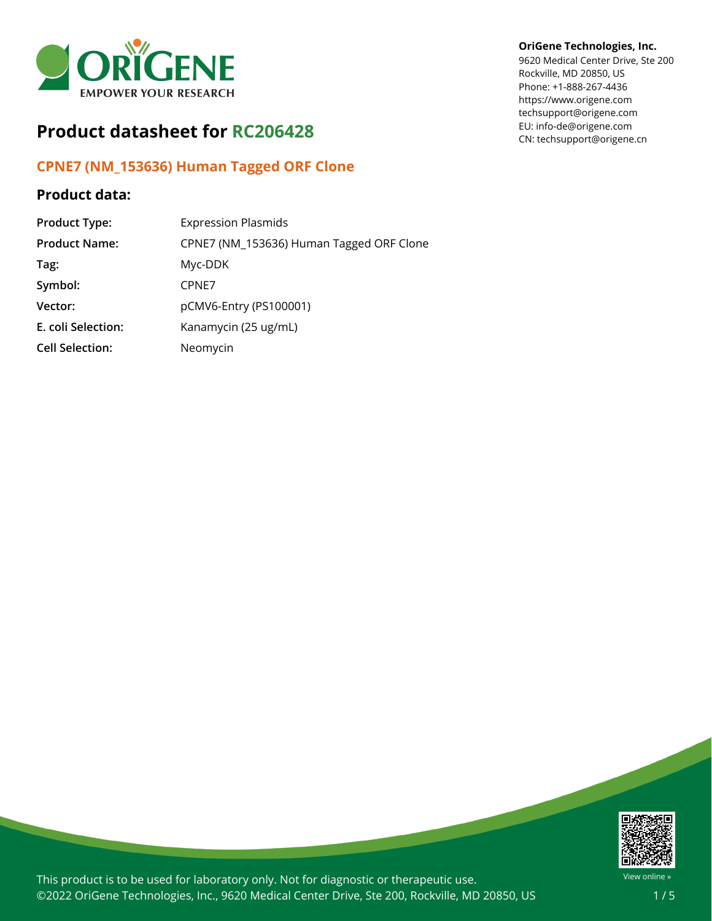

# **Product datasheet for RC206428**

# **CPNE7 (NM\_153636) Human Tagged ORF Clone**

## **Product data:**

| <b>Product Type:</b>   | <b>Expression Plasmids</b>               |
|------------------------|------------------------------------------|
| <b>Product Name:</b>   | CPNE7 (NM_153636) Human Tagged ORF Clone |
| Tag:                   | Myc-DDK                                  |
| Symbol:                | CPNE7                                    |
| Vector:                | pCMV6-Entry (PS100001)                   |
| E. coli Selection:     | Kanamycin (25 ug/mL)                     |
| <b>Cell Selection:</b> | Neomycin                                 |

#### **OriGene Technologies, Inc.**

9620 Medical Center Drive, Ste 200 Rockville, MD 20850, US Phone: +1-888-267-4436 https://www.origene.com techsupport@origene.com EU: info-de@origene.com CN: techsupport@origene.cn



This product is to be used for laboratory only. Not for diagnostic or therapeutic use. ©2022 OriGene Technologies, Inc., 9620 Medical Center Drive, Ste 200, Rockville, MD 20850, US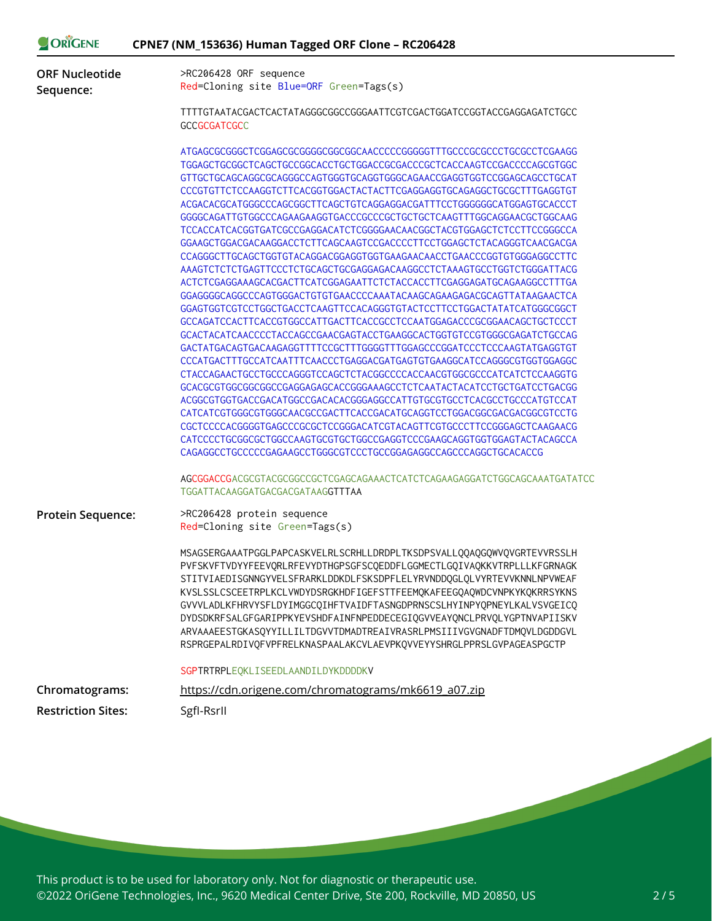| ORIGENE<br>CPNE7 (NM_153636) Human Tagged ORF Clone - RC206428 |                                                                                                                                                                                                                                                                                                                                                                                                                                                                                                                                                                                                                                                                                                                                                                                                                                                                                                                                                                                                                                                                                                                                                                                                                                                                                                                                                                                                                                                                                                                                                                                                                                                                                                                           |
|----------------------------------------------------------------|---------------------------------------------------------------------------------------------------------------------------------------------------------------------------------------------------------------------------------------------------------------------------------------------------------------------------------------------------------------------------------------------------------------------------------------------------------------------------------------------------------------------------------------------------------------------------------------------------------------------------------------------------------------------------------------------------------------------------------------------------------------------------------------------------------------------------------------------------------------------------------------------------------------------------------------------------------------------------------------------------------------------------------------------------------------------------------------------------------------------------------------------------------------------------------------------------------------------------------------------------------------------------------------------------------------------------------------------------------------------------------------------------------------------------------------------------------------------------------------------------------------------------------------------------------------------------------------------------------------------------------------------------------------------------------------------------------------------------|
| <b>ORF Nucleotide</b><br>Sequence:                             | >RC206428 ORF sequence<br>Red=Cloning site Blue=ORF Green=Tags(s)                                                                                                                                                                                                                                                                                                                                                                                                                                                                                                                                                                                                                                                                                                                                                                                                                                                                                                                                                                                                                                                                                                                                                                                                                                                                                                                                                                                                                                                                                                                                                                                                                                                         |
|                                                                | TTTTGTAATACGACTCACTATAGGGCGGCCGGGAATTCGTCGACTGGATCCGGTACCGAGGAGATCTGCC<br><b>GCCGCGATCGCC</b>                                                                                                                                                                                                                                                                                                                                                                                                                                                                                                                                                                                                                                                                                                                                                                                                                                                                                                                                                                                                                                                                                                                                                                                                                                                                                                                                                                                                                                                                                                                                                                                                                             |
|                                                                | ATGAGCGCGGGCTCGGAGCGCGGGGCGGCGAACCCCCGGGGGTTTGCCCGCGCCCTGCGCCTCGAAGG<br>TGGAGCTGCGGCTCAGCTGCCGGCACCTGCTGGACCGCGACCCGCTCACCAAGTCCGACCCCAGCGTGGC<br>GTTGCTGCAGCAGGCGCAGGGCCAGTGGGTGCAGGTGGGCAGAACCGAGGTGGTCCGGAGCAGCCTGCAT<br>CCCGTGTTCTCCAAGGTCTTCACGGTGGACTACTACTTCGAGGAGGTGCAGAGGCTGCGCTTTGAGGTGT<br>ACGACACGCATGGGCCCAGCGGCTTCAGCTGTCAGGAGGACGATTTCCTGGGGGGCATGGAGTGCACCCT<br>GGGGCAGATTGTGGCCCAGAAGAAGGTGACCCGCCCGCTGCTGCTCAAGTTTGGCAGGAACGCTGGCAAG<br>TCCACCATCACGGTGATCGCCGAGGACATCTCGGGGAACAACGGCTACGTGGAGCTCTCCTTCCGGGCCA<br>GGAAGCTGGACGACAAGGACCTCTTCAGCAAGTCCGACCCCTTCCTGGAGCTCTACAGGGTCAACGACGA<br>CCAGGGCTTGCAGCTGGTGTACAGGACGGAGGTGGTGAAGAACAACCTGAACCCGGTGTGGGAGGCCTTC<br>AAAGTCTCTCTGAGTTCCCTCTGCAGCTGCGAGGAGACAAGGCCTCTAAAGTGCCTGGTCTGGGATTACG<br>ACTCTCGAGGAAAGCACGACTTCATCGGAGAATTCTCTACCACCTTCGAGGAGATGCAGAAGGCCTTTGA<br>GGAGGGGCAGGCCCAGTGGGACTGTGTGAACCCCAAATACAAGCAGAAGACGCAGTTATAAGAACTCA<br>GCCAGATCCACTTCACCGTGGCCATTGACTTCACCGCCTCCAATGGAGACCCGCGGAACAGCTGCTCCCT<br>GCACTACATCAACCCCTACCAGCCGAACGAGTACCTGAAGGCACTGGTGTCCGTGGGCGAGATCTGCCAG<br>CCCATGACTTTGCCATCAATTTCAACCCTGAGGACGATGAGTGTGAAGGCATCCAGGGCGTGGTGGAGGC<br>CTACCAGAACTGCCTGCCCAGGGTCCAGCTCTACGGCCCCACCAACGTGGCGCCCATCATCTCCAAGGTG<br>GCACGCGTGGCGGCGGCCGAGGAGAGCACCGGGAAAGCCTCTCAATACTACATCCTGCTGATCCTGACGG<br>CATCATCGTGGGCGTGGGCAACGCCGACTTCACCGACATGCAGGTCCTGGACGGCGACGGCGTCCTG<br>CGCTCCCCACGGGGTGAGCCCGCGCTCCGGGACATCGTACAGTTCGTGCCCTTCCGGGAGCTCAAGAACG<br>CATCCCCTGCGGCGCTGGCCAAGTGCGTGCTGGCCGAGGTCCCGAAGCAGGTGGTGGAGTACTACAGCCA<br>CAGAGGCCTGCCCCCGAGAAGCCTGGGCGTCCCTGCCGGAGAGGCCAGCCCAGGCTGCACACCG<br>AGCGGACCGACGCGTACGCGGCCGCTCGAGCAGAAACTCATCTCAGAAGAGGATCTGGCAGCAAATGATATCC<br><b>TGGATTACAAGGATGACGACGATAAGGTTTAA</b> |
| <b>Protein Sequence:</b>                                       | >RC206428 protein sequence<br>Red=Cloning site Green=Tags(s)                                                                                                                                                                                                                                                                                                                                                                                                                                                                                                                                                                                                                                                                                                                                                                                                                                                                                                                                                                                                                                                                                                                                                                                                                                                                                                                                                                                                                                                                                                                                                                                                                                                              |
|                                                                | MSAGSERGAAATPGGLPAPCASKVELRLSCRHLLDRDPLTKSDPSVALL00A0G0WV0VGRTEVVRSSLH<br>PVFSKVFTVDYYFEEVQRLRFEVYDTHGPSGFSCQEDDFLGGMECTLGQIVAQKKVTRPLLLKFGRNAGK<br>STITVIAEDISGNNGYVELSFRARKLDDKDLFSKSDPFLELYRVNDDQGLQLVYRTEVVKNNLNPVWEAF<br>KVSLSSLCSCEETRPLKCLVWDYDSRGKHDFIGEFSTTFEEMQKAFEEGQAQWDCVNPKYKQKRRSYKNS<br>GVVVLADLKFHRVYSFLDYIMGGCQIHFTVAIDFTASNGDPRNSCSLHYINPYQPNEYLKALVSVGEICQ<br>DYDSDKRFSALGFGARIPPKYEVSHDFAINFNPEDDECEGIQGVVEAYQNCLPRVQLYGPTNVAPIISKV<br>ARVAAAEESTGKASQYYILLILTDGVVTDMADTREAIVRASRLPMSIIIVGVGNADFTDMQVLDGDDGVL<br>RSPRGEPALRDIVQFVPFRELKNASPAALAKCVLAEVPKQVVEYYSHRGLPPRSLGVPAGEASPGCTP                                                                                                                                                                                                                                                                                                                                                                                                                                                                                                                                                                                                                                                                                                                                                                                                                                                                                                                                                                                                                                                                                                                |
|                                                                | SGPTRTRPLEQKLISEEDLAANDILDYKDDDDKV                                                                                                                                                                                                                                                                                                                                                                                                                                                                                                                                                                                                                                                                                                                                                                                                                                                                                                                                                                                                                                                                                                                                                                                                                                                                                                                                                                                                                                                                                                                                                                                                                                                                                        |
| Chromatograms:                                                 | https://cdn.origene.com/chromatograms/mk6619 a07.zip                                                                                                                                                                                                                                                                                                                                                                                                                                                                                                                                                                                                                                                                                                                                                                                                                                                                                                                                                                                                                                                                                                                                                                                                                                                                                                                                                                                                                                                                                                                                                                                                                                                                      |
| <b>Restriction Sites:</b>                                      | SgfI-RsrII                                                                                                                                                                                                                                                                                                                                                                                                                                                                                                                                                                                                                                                                                                                                                                                                                                                                                                                                                                                                                                                                                                                                                                                                                                                                                                                                                                                                                                                                                                                                                                                                                                                                                                                |

This product is to be used for laboratory only. Not for diagnostic or therapeutic use. ©2022 OriGene Technologies, Inc., 9620 Medical Center Drive, Ste 200, Rockville, MD 20850, US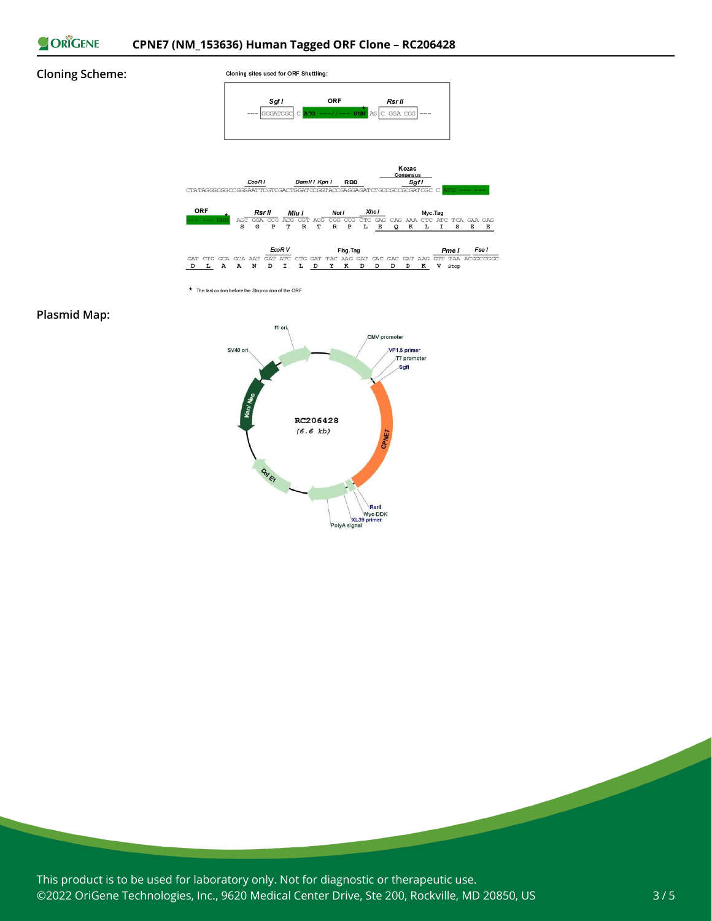

#### **Cloning Scheme:**







\* The last codon before the Stop codon of the ORF

#### **Plasmid Map:**



This product is to be used for laboratory only. Not for diagnostic or therapeutic use. ©2022 OriGene Technologies, Inc., 9620 Medical Center Drive, Ste 200, Rockville, MD 20850, US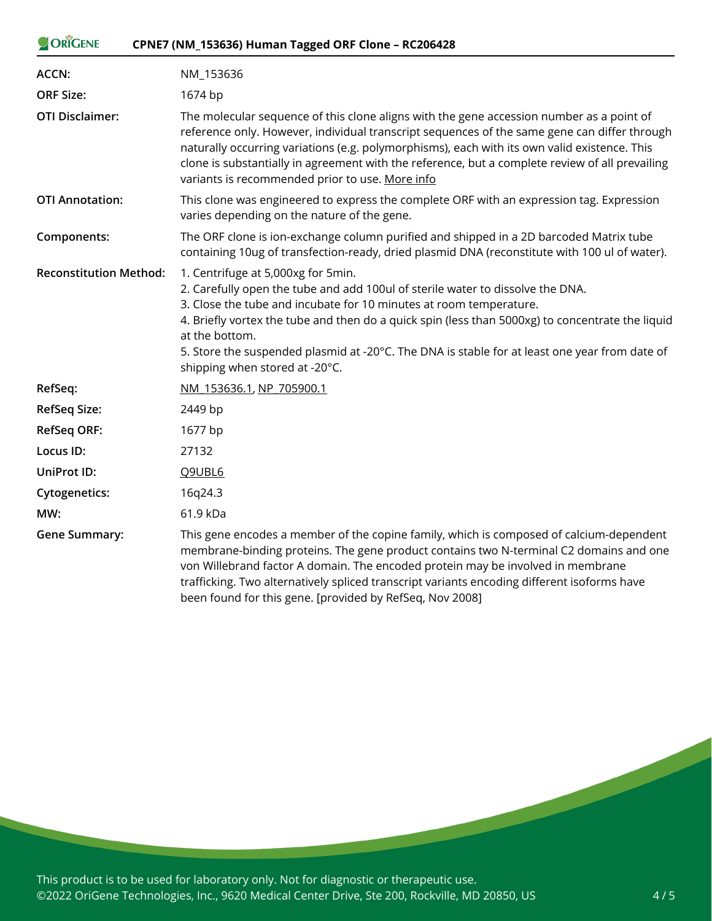| ORIGENE                       | CPNE7 (NM_153636) Human Tagged ORF Clone - RC206428                                                                                                                                                                                                                                                                                                                                                                                                 |
|-------------------------------|-----------------------------------------------------------------------------------------------------------------------------------------------------------------------------------------------------------------------------------------------------------------------------------------------------------------------------------------------------------------------------------------------------------------------------------------------------|
| ACCN:                         | NM_153636                                                                                                                                                                                                                                                                                                                                                                                                                                           |
| <b>ORF Size:</b>              | 1674 bp                                                                                                                                                                                                                                                                                                                                                                                                                                             |
| <b>OTI Disclaimer:</b>        | The molecular sequence of this clone aligns with the gene accession number as a point of<br>reference only. However, individual transcript sequences of the same gene can differ through<br>naturally occurring variations (e.g. polymorphisms), each with its own valid existence. This<br>clone is substantially in agreement with the reference, but a complete review of all prevailing<br>variants is recommended prior to use. More info      |
| <b>OTI Annotation:</b>        | This clone was engineered to express the complete ORF with an expression tag. Expression<br>varies depending on the nature of the gene.                                                                                                                                                                                                                                                                                                             |
| Components:                   | The ORF clone is ion-exchange column purified and shipped in a 2D barcoded Matrix tube<br>containing 10ug of transfection-ready, dried plasmid DNA (reconstitute with 100 ul of water).                                                                                                                                                                                                                                                             |
| <b>Reconstitution Method:</b> | 1. Centrifuge at 5,000xg for 5min.<br>2. Carefully open the tube and add 100ul of sterile water to dissolve the DNA.<br>3. Close the tube and incubate for 10 minutes at room temperature.<br>4. Briefly vortex the tube and then do a quick spin (less than 5000xg) to concentrate the liquid<br>at the bottom.<br>5. Store the suspended plasmid at -20°C. The DNA is stable for at least one year from date of<br>shipping when stored at -20°C. |
| RefSeq:                       | NM 153636.1, NP 705900.1                                                                                                                                                                                                                                                                                                                                                                                                                            |
| <b>RefSeq Size:</b>           | 2449 bp                                                                                                                                                                                                                                                                                                                                                                                                                                             |
| <b>RefSeq ORF:</b>            | 1677 bp                                                                                                                                                                                                                                                                                                                                                                                                                                             |
| Locus ID:                     | 27132                                                                                                                                                                                                                                                                                                                                                                                                                                               |
| UniProt ID:                   | Q9UBL6                                                                                                                                                                                                                                                                                                                                                                                                                                              |
| Cytogenetics:                 | 16q24.3                                                                                                                                                                                                                                                                                                                                                                                                                                             |
| MW:                           | 61.9 kDa                                                                                                                                                                                                                                                                                                                                                                                                                                            |
| <b>Gene Summary:</b>          | This gene encodes a member of the copine family, which is composed of calcium-dependent<br>membrane-binding proteins. The gene product contains two N-terminal C2 domains and one<br>von Willebrand factor A domain. The encoded protein may be involved in membrane<br>trafficking. Two alternatively spliced transcript variants encoding different isoforms have<br>been found for this gene. [provided by RefSeq, Nov 2008]                     |

This product is to be used for laboratory only. Not for diagnostic or therapeutic use. ©2022 OriGene Technologies, Inc., 9620 Medical Center Drive, Ste 200, Rockville, MD 20850, US